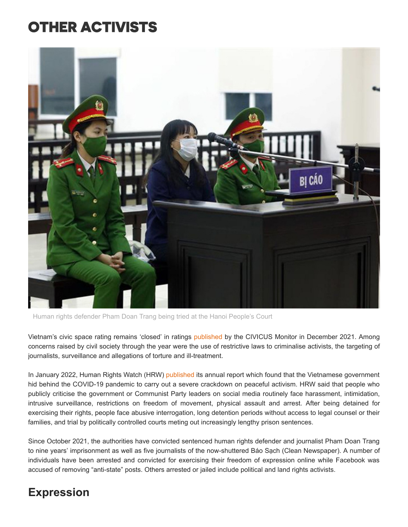# [OTHER ACTIVISTS](https://monitor.civicus.org/updates/2022/01/21/repression-persists-vietnam-jails-human-rights-defender-pham-doan-trang-and-other-activists/)



Human rights defender Pham Doan Trang being tried at the Hanoi People's Court

Vietnam's civic space rating remains 'closed' in ratings [published](https://civicus.contentfiles.net/media/assets/file/2021GlobalReport.pdf) by the CIVICUS Monitor in December 2021. Among concerns raised by civil society through the year were the use of restrictive laws to criminalise activists, the targeting of journalists, surveillance and allegations of torture and ill-treatment.

In January 2022, Human Rights Watch (HRW) [published](https://www.hrw.org/news/2022/01/13/vietnam-dozens-rights-activists-detained-tried) its annual report which found that the Vietnamese government hid behind the COVID-19 pandemic to carry out a severe crackdown on peaceful activism. HRW said that people who publicly criticise the government or Communist Party leaders on social media routinely face harassment, intimidation, intrusive surveillance, restrictions on freedom of movement, physical assault and arrest. After being detained for exercising their rights, people face abusive interrogation, long detention periods without access to legal counsel or their families, and trial by politically controlled courts meting out increasingly lengthy prison sentences.

Since October 2021, the authorities have convicted sentenced human rights defender and journalist Pham Doan Trang to nine years' imprisonment as well as five journalists of the now-shuttered Báo Sạch (Clean Newspaper). A number of individuals have been arrested and convicted for exercising their freedom of expression online while Facebook was accused of removing "anti-state" posts. Others arrested or jailed include political and land rights activists.

# **Expression**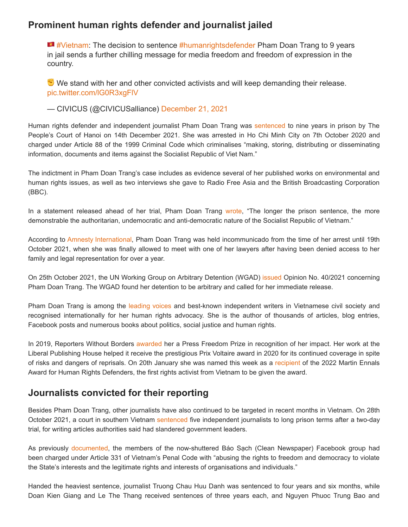### **Prominent human rights defender and journalist jailed**

 [#Vietnam:](https://twitter.com/hashtag/Vietnam?src=hash&ref_src=twsrc%5Etfw) The decision to sentence [#humanrightsdefender](https://twitter.com/hashtag/humanrightsdefender?src=hash&ref_src=twsrc%5Etfw) Pham Doan Trang to 9 years in jail sends a further chilling message for media freedom and freedom of expression in the country.

✊ We stand with her and other convicted activists and will keep demanding their release. [pic.twitter.com/lG0R3xgFlV](https://t.co/lG0R3xgFlV)

— CIVICUS (@CIVICUSalliance) [December 21, 2021](https://twitter.com/CIVICUSalliance/status/1473232316411564034?ref_src=twsrc%5Etfw)

Human rights defender and independent journalist Pham Doan Trang was [sentenced](https://rsf.org/en/news/vietnamese-journalist-who-rsf-laureate-gets-nine-years-prison) to nine years in prison by The People's Court of Hanoi on 14th December 2021. She was arrested in Ho Chi Minh City on 7th October 2020 and charged under Article 88 of the 1999 Criminal Code which criminalises "making, storing, distributing or disseminating information, documents and items against the Socialist Republic of Viet Nam."

The indictment in Pham Doan Trang's case includes as evidence several of her published works on environmental and human rights issues, as well as two interviews she gave to Radio Free Asia and the British Broadcasting Corporation (BBC).

In a statement released ahead of her trial, Pham Doan Trang [wrote](https://www.thevietnamese.org/2021/12/pham-doan-trangs-final-statement-at-her-trial/), "The longer the prison sentence, the more demonstrable the authoritarian, undemocratic and anti-democratic nature of the Socialist Republic of Vietnam."

According to [Amnesty International,](https://www.amnesty.org/en/latest/news/2021/12/vietnam-pham-doan-trang-conviction/) Pham Doan Trang was held incommunicado from the time of her arrest until 19th October 2021, when she was finally allowed to meet with one of her lawyers after having been denied access to her family and legal representation for over a year.

On 25th October 2021, the UN Working Group on Arbitrary Detention (WGAD) [issued](https://www.ohchr.org/Documents/Issues/Detention/Opinions/Session91/A_HRC_WGAD_2021_40_AdvanceEditedVersion.docx) Opinion No. 40/2021 concerning Pham Doan Trang. The WGAD found her detention to be arbitrary and called for her immediate release.

Pham Doan Trang is among the [leading voices](https://www.civicus.org/index.php/media-resources/news/5398-vietnam-immediately-release-independent-journalist-and-human-rights-defender-pham-doan-trang) and best-known independent writers in Vietnamese civil society and recognised internationally for her human rights advocacy. She is the author of thousands of articles, blog entries, Facebook posts and numerous books about politics, social justice and human rights.

In 2019, Reporters Without Borders [awarded](https://rsf.org/en/news/vietnamese-journalist-who-rsf-laureate-gets-nine-years-prison) her a Press Freedom Prize in recognition of her impact. Her work at the Liberal Publishing House helped it receive the prestigious Prix Voltaire award in 2020 for its continued coverage in spite of risks and dangers of reprisals. On 20th January she was named this week as a [recipient](https://www.rfa.org/english/news/vietnam/award-01202022155751.html) of the 2022 Martin Ennals Award for Human Rights Defenders, the first rights activist from Vietnam to be given the award.

## **Journalists convicted for their reporting**

Besides Pham Doan Trang, other journalists have also continued to be targeted in recent months in Vietnam. On 28th October 2021, a court in southern Vietnam [sentenced](https://www.rfa.org/english/news/vietnam/court-10282021172310.html) five independent journalists to long prison terms after a two-day trial, for writing articles authorities said had slandered government leaders.

As previously [documented](https://monitor.civicus.org/updates/2021/09/27/crackdown-online-critics-persists-vietnam-new-decree-controlling-livestreaming-proposed/), the members of the now-shuttered Báo Sạch (Clean Newspaper) Facebook group had been charged under Article 331 of Vietnam's Penal Code with "abusing the rights to freedom and democracy to violate the State's interests and the legitimate rights and interests of organisations and individuals."

Handed the heaviest sentence, journalist Truong Chau Huu Danh was sentenced to four years and six months, while Doan Kien Giang and Le The Thang received sentences of three years each, and Nguyen Phuoc Trung Bao and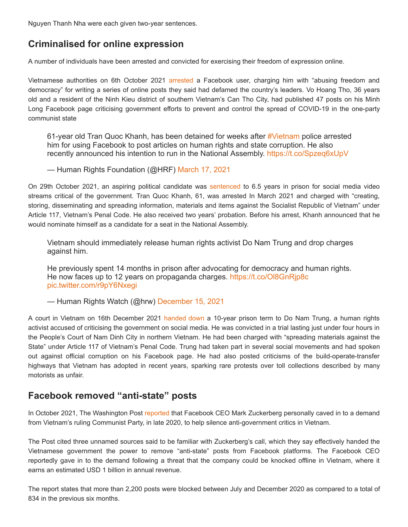Nguyen Thanh Nha were each given two-year sentences.

## **Criminalised for online expression**

A number of individuals have been arrested and convicted for exercising their freedom of expression online.

Vietnamese authorities on 6th October 2021 [arrested](https://www.rfa.org/english/news/vietnam/posts-10062021173801.html) a Facebook user, charging him with "abusing freedom and democracy" for writing a series of online posts they said had defamed the country's leaders. Vo Hoang Tho, 36 years old and a resident of the Ninh Kieu district of southern Vietnam's Can Tho City, had published 47 posts on his Minh Long Facebook page criticising government efforts to prevent and control the spread of COVID-19 in the one-party communist state

61-year old Tran Quoc Khanh, has been detained for weeks after  $\#$ Vietnam police arrested him for using Facebook to post articles on human rights and state corruption. He also recently announced his intention to run in the National Assembly. <https://t.co/Spzeq6xUpV>

— Human Rights Foundation (@HRF) [March 17, 2021](https://twitter.com/HRF/status/1372231264678391816?ref_src=twsrc%5Etfw)

On 29th October 2021, an aspiring political candidate was [sentenced](https://www.rfa.org/english/news/vietnam/khanh-10292021183017.html) to 6.5 years in prison for social media video streams critical of the government. Tran Quoc Khanh, 61, was arrested In March 2021 and charged with "creating, storing, disseminating and spreading information, materials and items against the Socialist Republic of Vietnam" under Article 117, Vietnam's Penal Code. He also received two years' probation. Before his arrest, Khanh announced that he would nominate himself as a candidate for a seat in the National Assembly.

Vietnam should immediately release human rights activist Do Nam Trung and drop charges against him.

He previously spent 14 months in prison after advocating for democracy and human rights. He now faces up to 12 years on propaganda charges.<https://t.co/Ol8GnRjp8c> [pic.twitter.com/r9pY6Nxegi](https://t.co/r9pY6Nxegi)

— Human Rights Watch (@hrw) [December 15, 2021](https://twitter.com/hrw/status/1471186601619435535?ref_src=twsrc%5Etfw)

A court in Vietnam on 16th December 2021 [handed down](https://www.rfa.org/english/news/vietnam/activist-12162021145603.html) a 10-year prison term to Do Nam Trung, a human rights activist accused of criticising the government on social media. He was convicted in a trial lasting just under four hours in the People's Court of Nam Dinh City in northern Vietnam. He had been charged with "spreading materials against the State" under Article 117 of Vietnam's Penal Code. Trung had taken part in several social movements and had spoken out against official corruption on his Facebook page. He had also posted criticisms of the build-operate-transfer highways that Vietnam has adopted in recent years, sparking rare protests over toll collections described by many motorists as unfair.

### **Facebook removed "anti-state" posts**

In October 2021, The Washington Post [reported](https://news.yahoo.com/report-mark-zuckerberg-personally-approved-213954854.html) that Facebook CEO Mark Zuckerberg personally caved in to a demand from Vietnam's ruling Communist Party, in late 2020, to help silence anti-government critics in Vietnam.

The Post cited three unnamed sources said to be familiar with Zuckerberg's call, which they say effectively handed the Vietnamese government the power to remove "anti-state" posts from Facebook platforms. The Facebook CEO reportedly gave in to the demand following a threat that the company could be knocked offline in Vietnam, where it earns an estimated USD 1 billion in annual revenue.

The report states that more than 2,200 posts were blocked between July and December 2020 as compared to a total of 834 in the previous six months.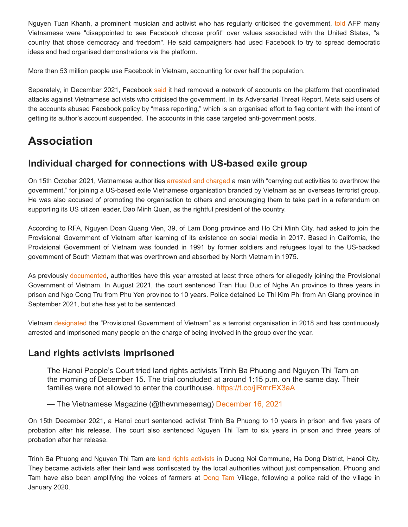Nguyen Tuan Khanh, a prominent musician and activist who has regularly criticised the government, [told](https://www.france24.com/en/live-news/20211026-facebook-a-propaganda-tool-for-vietnam-govt-activists) AFP many Vietnamese were "disappointed to see Facebook choose profit" over values associated with the United States, "a country that chose democracy and freedom". He said campaigners had used Facebook to try to spread democratic ideas and had organised demonstrations via the platform.

More than 53 million people use Facebook in Vietnam, accounting for over half the population.

Separately, in December 2021, Facebook [said](https://www.rfa.org/english/news/vietnam/meta-12032021183656.html) it had removed a network of accounts on the platform that coordinated attacks against Vietnamese activists who criticised the government. In its Adversarial Threat Report, Meta said users of the accounts abused Facebook policy by "mass reporting," which is an organised effort to flag content with the intent of getting its author's account suspended. The accounts in this case targeted anti-government posts.

# **Association**

### **Individual charged for connections with US-based exile group**

On 15th October 2021, Vietnamese authorities [arrested and charged](https://www.rfa.org/english/news/vietnam/vien-10152021135411.html) a man with "carrying out activities to overthrow the government," for joining a US-based exile Vietnamese organisation branded by Vietnam as an overseas terrorist group. He was also accused of promoting the organisation to others and encouraging them to take part in a referendum on supporting its US citizen leader, Dao Minh Quan, as the rightful president of the country.

According to RFA, Nguyen Doan Quang Vien, 39, of Lam Dong province and Ho Chi Minh City, had asked to join the Provisional Government of Vietnam after learning of its existence on social media in 2017. Based in California, the Provisional Government of Vietnam was founded in 1991 by former soldiers and refugees loyal to the US-backed government of South Vietnam that was overthrown and absorbed by North Vietnam in 1975.

As previously [documented](https://monitor.civicus.org/updates/2021/09/27/crackdown-online-critics-persists-vietnam-new-decree-controlling-livestreaming-proposed/), authorities have this year arrested at least three others for allegedly joining the Provisional Government of Vietnam. In August 2021, the court sentenced Tran Huu Duc of Nghe An province to three years in prison and Ngo Cong Tru from Phu Yen province to 10 years. Police detained Le Thi Kim Phi from An Giang province in September 2021, but she has yet to be sentenced.

Vietnam [designated](https://www.reuters.com/article/us-vietnam-dissident-idUSKBN1FJ2CS) the "Provisional Government of Vietnam" as a terrorist organisation in 2018 and has continuously arrested and imprisoned many people on the charge of being involved in the group over the year.

#### **Land rights activists imprisoned**

The Hanoi People's Court tried land rights activists Trinh Ba Phuong and Nguyen Thi Tam on the morning of December 15. The trial concluded at around 1:15 p.m. on the same day. Their families were not allowed to enter the courthouse. <https://t.co/jiRmrEX3aA>

— The Vietnamese Magazine (@thevnmesemag) [December 16, 2021](https://twitter.com/thevnmesemag/status/1471295972500148225?ref_src=twsrc%5Etfw)

On 15th December 2021, a Hanoi court sentenced activist Trinh Ba Phuong to 10 years in prison and five years of probation after his release. The court also sentenced Nguyen Thi Tam to six years in prison and three years of probation after her release.

Trinh Ba Phuong and Nguyen Thi Tam are [land rights activists](https://www.thevietnamese.org/2021/12/trinh-ba-phuong-nguyen-thi-tam-trial/) in Duong Noi Commune, Ha Dong District, Hanoi City. They became activists after their land was confiscated by the local authorities without just compensation. Phuong and Tam have also been amplifying the voices of farmers at [Dong Tam](https://monitor.civicus.org/updates/2020/04/07/online-debate-dong-tam-incident-followed-pandemic-silenced-vietnam-authorities/) Village, following a police raid of the village in January 2020.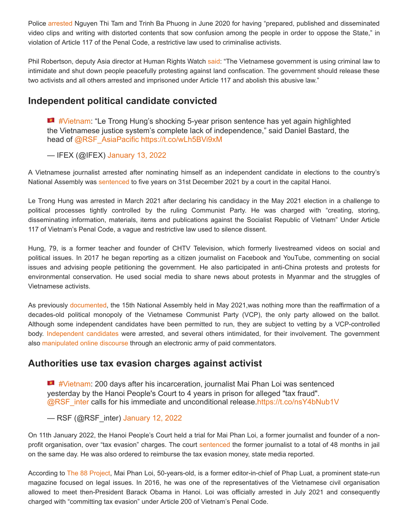Police [arrested](https://www.hrw.org/news/2021/12/14/vietnam-free-land-rights-activists) Nguyen Thi Tam and Trinh Ba Phuong in June 2020 for having "prepared, published and disseminated video clips and writing with distorted contents that sow confusion among the people in order to oppose the State," in violation of Article 117 of the Penal Code, a restrictive law used to criminalise activists.

Phil Robertson, deputy Asia director at Human Rights Watch [said](https://www.hrw.org/news/2021/12/14/vietnam-free-land-rights-activists): "The Vietnamese government is using criminal law to intimidate and shut down people peacefully protesting against land confiscation. The government should release these two activists and all others arrested and imprisoned under Article 117 and abolish this abusive law."

### **Independent political candidate convicted**

 [#Vietnam](https://twitter.com/hashtag/Vietnam?src=hash&ref_src=twsrc%5Etfw): "Le Trong Hung's shocking 5-year prison sentence has yet again highlighted the Vietnamese justice system's complete lack of independence," said Daniel Bastard, the head of [@RSF\\_AsiaPacific](https://twitter.com/RSF_AsiaPacific?ref_src=twsrc%5Etfw) <https://t.co/wLh5BVi9xM>

— IFEX (@IFEX) [January 13, 2022](https://twitter.com/IFEX/status/1481624579999252483?ref_src=twsrc%5Etfw)

A Vietnamese journalist arrested after nominating himself as an independent candidate in elections to the country's National Assembly was [sentenced](https://www.rfa.org/english/news/vietnam/candidate-verdict-12312021145510.html) to five years on 31st December 2021 by a court in the capital Hanoi.

Le Trong Hung was arrested in March 2021 after declaring his candidacy in the May 2021 election in a challenge to political processes tightly controlled by the ruling Communist Party. He was charged with "creating, storing, disseminating information, materials, items and publications against the Socialist Republic of Vietnam" Under Article 117 of Vietnam's Penal Code, a vague and restrictive law used to silence dissent.

Hung, 79, is a former teacher and founder of CHTV Television, which formerly livestreamed videos on social and political issues. In 2017 he began reporting as a citizen journalist on Facebook and YouTube, commenting on social issues and advising people petitioning the government. He also participated in anti-China protests and protests for environmental conservation. He used social media to share news about protests in Myanmar and the struggles of Vietnamese activists.

As previously [documented](https://monitor.civicus.org/updates/2021/07/14/persecution-activists-and-journalists-continues-following-rubber-stamp-elections-vietnam/), the 15th National Assembly held in May 2021,was nothing more than the reaffirmation of a decades-old political monopoly of the Vietnamese Communist Party (VCP), the only party allowed on the ballot. Although some independent candidates have been permitted to run, they are subject to vetting by a VCP-controlled body. [Independent candidates](https://aseanmp.org/2021/05/20/vietnams-national-assembly-vote-a-futile-gesture/) were arrested, and several others intimidated, for their involvement. The government also [manipulated online discourse](https://thediplomat.com/2021/05/ahead-of-vietnams-one-party-elections-the-state-punishes-online-calls-for-democracy/) through an electronic army of paid commentators.

#### **Authorities use tax evasion charges against activist**

**14** Vietnam: 200 days after his incarceration, journalist Mai Phan Loi was sentenced yesterday by the Hanoi People's Court to 4 years in prison for alleged "tax fraud". [@RSF\\_inter](https://twitter.com/RSF_inter?ref_src=twsrc%5Etfw) calls for his immediate and unconditional release.<https://t.co/nsY4bNub1V>

— RSF (@RSF\_inter) [January 12, 2022](https://twitter.com/RSF_inter/status/1481309465840336898?ref_src=twsrc%5Etfw)

On 11th January 2022, the Hanoi People's Court held a trial for Mai Phan Loi, a former journalist and founder of a nonprofit organisation, over "tax evasion" charges. The court [sentenced](https://www.thevietnamese.org/2022/01/mai-phan-loi-former-vietnamese-journalist-jailed-for-4-years/) the former journalist to a total of 48 months in jail on the same day. He was also ordered to reimburse the tax evasion money, state media reported.

According to [The 88 Project,](https://the88project.org/profile/537/mai-phan-loi/) Mai Phan Loi, 50-years-old, is a former editor-in-chief of Phap Luat, a prominent state-run magazine focused on legal issues. In 2016, he was one of the representatives of the Vietnamese civil organisation allowed to meet then-President Barack Obama in Hanoi. Loi was officially arrested in July 2021 and consequently charged with "committing tax evasion" under Article 200 of Vietnam's Penal Code.